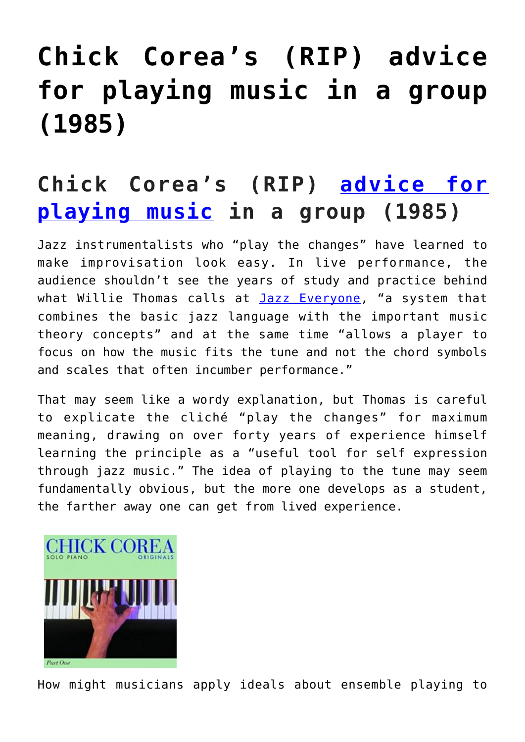# **[Chick Corea's \(RIP\) advice](https://sheetmusiclibrary.website/2022/02/14/chick-coreas-play-music/) [for playing music in a group](https://sheetmusiclibrary.website/2022/02/14/chick-coreas-play-music/) [\(1985\)](https://sheetmusiclibrary.website/2022/02/14/chick-coreas-play-music/)**

## **Chick Corea's (RIP) [advice for](https://sheetmusiclibrary.website/) [playing music](https://sheetmusiclibrary.website/) in a group (1985)**

Jazz instrumentalists who "play the changes" have learned to make improvisation look easy. In live performance, the audience shouldn't see the years of study and practice behind what Willie Thomas calls at **[Jazz Everyone](https://www.jazzeveryone.com/playing-the-changes/)**, "a system that combines the basic jazz language with the important music theory concepts" and at the same time "allows a player to focus on how the music fits the tune and not the chord symbols and scales that often incumber performance."

That may seem like a wordy explanation, but Thomas is careful to explicate the cliché "play the changes" for maximum meaning, drawing on over forty years of experience himself learning the principle as a "useful tool for self expression through jazz music." The idea of playing to the tune may seem fundamentally obvious, but the more one develops as a student, the farther away one can get from lived experience.



How might musicians apply ideals about ensemble playing to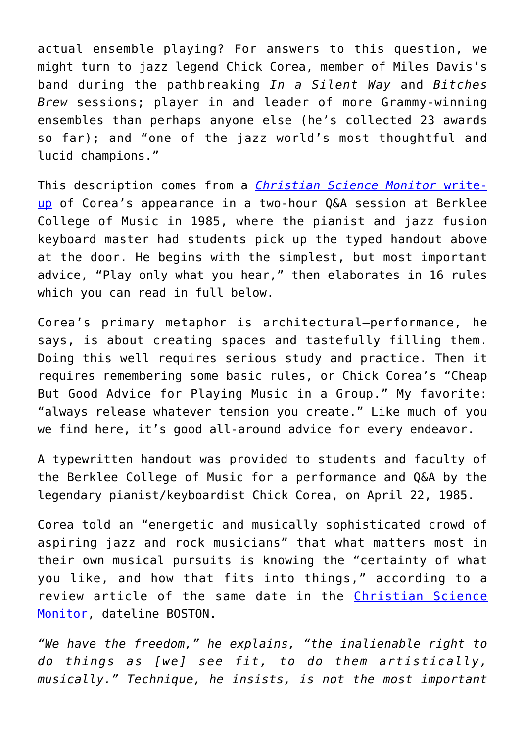actual ensemble playing? For answers to this question, we might turn to jazz legend Chick Corea, member of Miles Davis's band during the pathbreaking *In a Silent Way* and *Bitches Brew* sessions; player in and leader of more Grammy-winning ensembles than perhaps anyone else (he's collected 23 awards so far); and "one of the jazz world's most thoughtful and lucid champions."

This description comes from a *[Christian Science Monitor](https://www.csmonitor.com/1985/0422/lchick.html)* [write](https://www.csmonitor.com/1985/0422/lchick.html)[up](https://www.csmonitor.com/1985/0422/lchick.html) of Corea's appearance in a two-hour Q&A session at Berklee College of Music in 1985, where the pianist and jazz fusion keyboard master had students pick up the typed handout above at the door. He begins with the simplest, but most important advice, "Play only what you hear," then elaborates in 16 rules which you can read in full below.

Corea's primary metaphor is architectural—performance, he says, is about creating spaces and tastefully filling them. Doing this well requires serious study and practice. Then it requires remembering some basic rules, or Chick Corea's "Cheap But Good Advice for Playing Music in a Group." My favorite: "always release whatever tension you create." Like much of you we find here, it's good all-around advice for every endeavor.

A typewritten handout was provided to students and faculty of the Berklee College of Music for a performance and Q&A by the legendary pianist/keyboardist Chick Corea, on April 22, 1985.

Corea told an "energetic and musically sophisticated crowd of aspiring jazz and rock musicians" that what matters most in their own musical pursuits is knowing the "certainty of what you like, and how that fits into things," according to a review article of the same date in the [Christian Science](https://www.csmonitor.com/1985/0422/lchick.html) [Monitor](https://www.csmonitor.com/1985/0422/lchick.html), dateline BOSTON.

*"We have the freedom," he explains, "the inalienable right to do things as [we] see fit, to do them artistically, musically." Technique, he insists, is not the most important*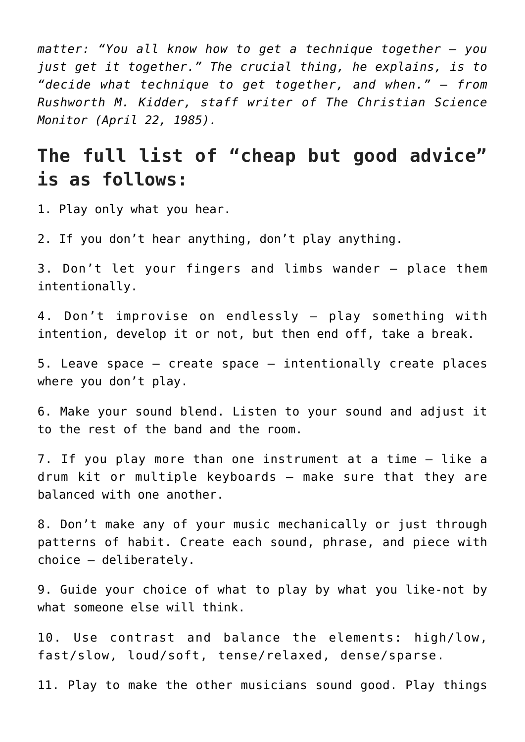*matter: "You all know how to get a technique together — you just get it together." The crucial thing, he explains, is to "decide what technique to get together, and when." — from Rushworth M. Kidder, staff writer of The Christian Science Monitor (April 22, 1985).*

#### **The full list of "cheap but good advice" is as follows:**

1. Play only what you hear.

2. If you don't hear anything, don't play anything.

3. Don't let your fingers and limbs wander — place them intentionally.

4. Don't improvise on endlessly — play something with intention, develop it or not, but then end off, take a break.

5. Leave space — create space — intentionally create places where you don't play.

6. Make your sound blend. Listen to your sound and adjust it to the rest of the band and the room.

7. If you play more than one instrument at a time — like a drum kit or multiple keyboards — make sure that they are balanced with one another.

8. Don't make any of your music mechanically or just through patterns of habit. Create each sound, phrase, and piece with choice — deliberately.

9. Guide your choice of what to play by what you like-not by what someone else will think.

10. Use contrast and balance the elements: high/low, fast/slow, loud/soft, tense/relaxed, dense/sparse.

11. Play to make the other musicians sound good. Play things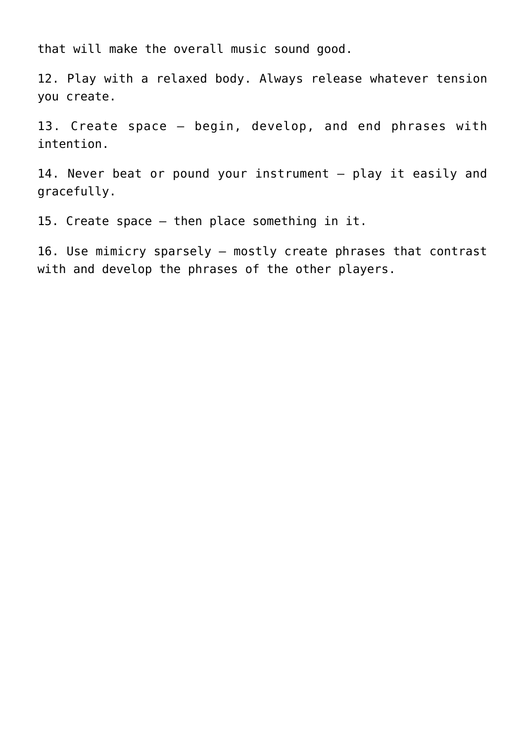that will make the overall music sound good.

12. Play with a relaxed body. Always release whatever tension you create.

13. Create space — begin, develop, and end phrases with intention.

14. Never beat or pound your instrument — play it easily and gracefully.

15. Create space — then place something in it.

16. Use mimicry sparsely — mostly create phrases that contrast with and develop the phrases of the other players.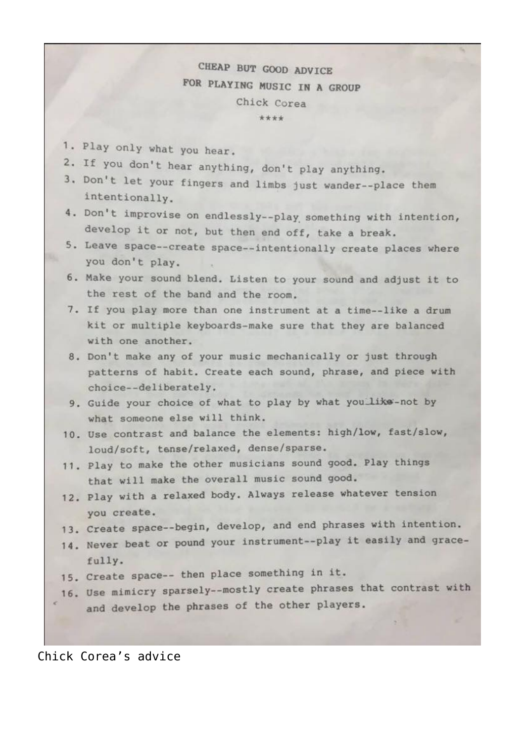#### CHEAP BUT GOOD ADVICE FOR PLAYING MUSIC IN A GROUP Chick Corea \*\*\*\*

- 1. Play only what you hear.
- 2. If you don't hear anything, don't play anything.
- 3. Don't let your fingers and limbs just wander--place them intentionally.
- 4. Don't improvise on endlessly--play something with intention, develop it or not, but then end off, take a break.
- 5. Leave space--create space--intentionally create places where you don't play.
- 6. Make your sound blend. Listen to your sound and adjust it to the rest of the band and the room.
- 7. If you play more than one instrument at a time--like a drum kit or multiple keyboards-make sure that they are balanced with one another.
- 8. Don't make any of your music mechanically or just through patterns of habit. Create each sound, phrase, and piece with choice--deliberately.
- 9. Guide your choice of what to play by what you like-not by what someone else will think.
- 10. Use contrast and balance the elements: high/low, fast/slow, loud/soft, tense/relaxed, dense/sparse.
- 11. Play to make the other musicians sound good. Play things that will make the overall music sound good.
- 12. Play with a relaxed body. Always release whatever tension you create.
- 13. Create space--begin, develop, and end phrases with intention.
- 14. Never beat or pound your instrument--play it easily and gracefully.
- 15. Create space -- then place something in it.
- 16. Use mimicry sparsely--mostly create phrases that contrast with and develop the phrases of the other players.

Chick Corea's advice